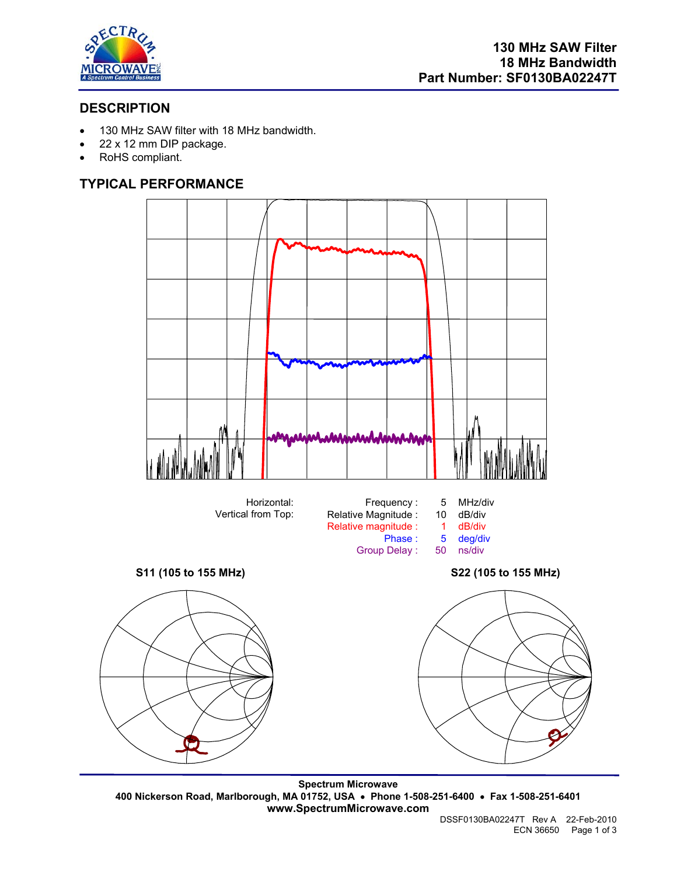

# **DESCRIPTION**

- 130 MHz SAW filter with 18 MHz bandwidth.
- 22 x 12 mm DIP package.
- RoHS compliant.

# **TYPICAL PERFORMANCE**



**Spectrum Microwave 400 Nickerson Road, Marlborough, MA 01752, USA** • **Phone 1-508-251-6400** • **Fax 1-508-251-6401 www.SpectrumMicrowave.com**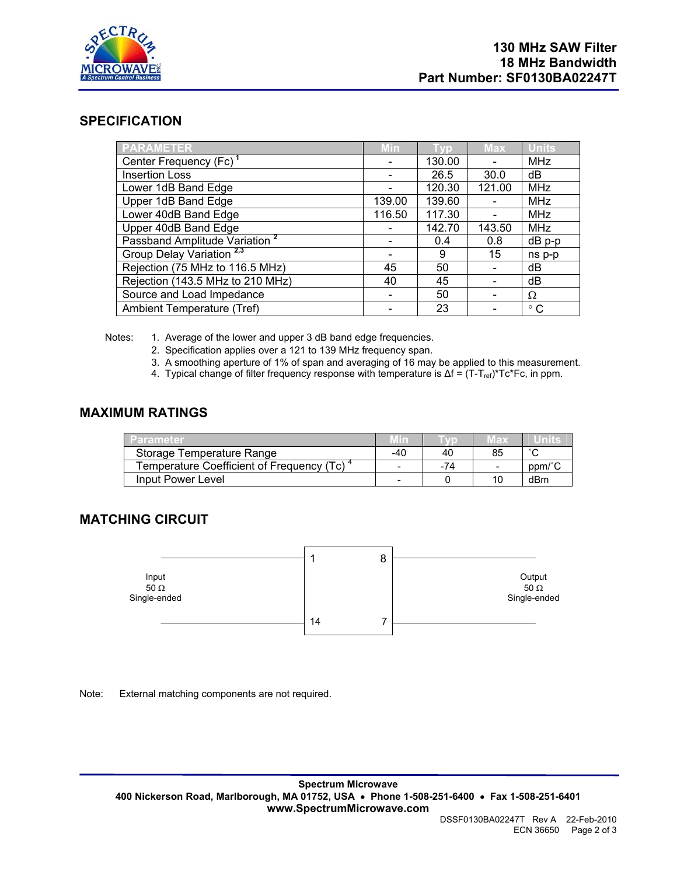

### **SPECIFICATION**

| PARAMETER                                 | <b>Min</b>               | $\sqrt{0}$ | <b>Max</b> | <b>Units</b> |
|-------------------------------------------|--------------------------|------------|------------|--------------|
| Center Frequency (Fc) <sup>1</sup>        | $\qquad \qquad$          | 130.00     |            | <b>MHz</b>   |
| <b>Insertion Loss</b>                     |                          | 26.5       | 30.0       | dB           |
| Lower 1dB Band Edge                       |                          | 120.30     | 121.00     | <b>MHz</b>   |
| Upper 1dB Band Edge                       | 139.00                   | 139.60     |            | <b>MHz</b>   |
| Lower 40dB Band Edge                      | 116.50                   | 117.30     |            | <b>MHz</b>   |
| Upper 40dB Band Edge                      |                          | 142.70     | 143.50     | <b>MHz</b>   |
| Passband Amplitude Variation <sup>2</sup> |                          | 0.4        | 0.8        | dB p-p       |
| Group Delay Variation <sup>2,3</sup>      |                          | 9          | 15         | ns p-p       |
| Rejection (75 MHz to 116.5 MHz)           | 45                       | 50         |            | dB           |
| Rejection (143.5 MHz to 210 MHz)          | 40                       | 45         |            | dB           |
| Source and Load Impedance                 | $\overline{\phantom{0}}$ | 50         |            | Ω            |
| Ambient Temperature (Tref)                |                          | 23         |            | $^{\circ}$ C |

Notes: 1. Average of the lower and upper 3 dB band edge frequencies.

- 2. Specification applies over a 121 to 139 MHz frequency span.
- 3. A smoothing aperture of 1% of span and averaging of 16 may be applied to this measurement.
- 4. Typical change of filter frequency response with temperature is  $\Delta f = (T T_{ref})^* T c^*Fc$ , in ppm.

### **MAXIMUM RATINGS**

| arameter                                  |     |     | 16 D |        |
|-------------------------------------------|-----|-----|------|--------|
| Storage Temperature Range                 | -40 | 40  | 85   | $\sim$ |
| Temperature Coefficient of Frequency (Tc) |     | -74 |      | ppm/°  |
| Input Power Level                         |     |     | 10   | dBm    |

## **MATCHING CIRCUIT**



Note: External matching components are not required.